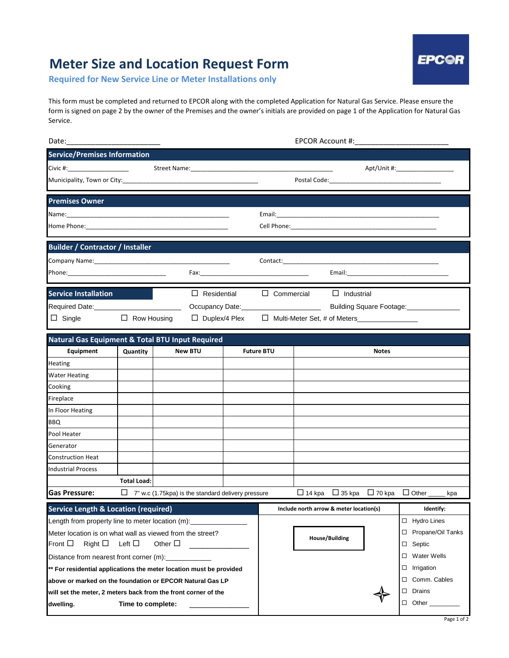## **Meter Size and Location Request Form**

**Required for New Service Line or Meter Installations only**

**EPC@R** 

This form must be completed and returned to EPCOR along with the completed Application for Natural Gas Service. Please ensure the form is signed on page 2 by the owner of the Premises and the owner's initials are provided on page 1 of the Application for Natural Gas Service.

| <b>Service/Premises Information</b>                                     |                    |  |                                                    |  |                                   |               |                                         |                         |                              |  |  |
|-------------------------------------------------------------------------|--------------------|--|----------------------------------------------------|--|-----------------------------------|---------------|-----------------------------------------|-------------------------|------------------------------|--|--|
|                                                                         |                    |  |                                                    |  | Apt/Unit #:______________________ |               |                                         |                         |                              |  |  |
| Municipality, Town or City: National Action of City:                    |                    |  |                                                    |  |                                   |               |                                         |                         |                              |  |  |
| <b>Premises Owner</b>                                                   |                    |  |                                                    |  |                                   |               |                                         |                         |                              |  |  |
|                                                                         |                    |  |                                                    |  |                                   |               |                                         |                         |                              |  |  |
|                                                                         |                    |  |                                                    |  |                                   |               |                                         |                         |                              |  |  |
| <b>Builder / Contractor / Installer</b>                                 |                    |  |                                                    |  |                                   |               |                                         |                         |                              |  |  |
|                                                                         |                    |  |                                                    |  |                                   |               |                                         |                         |                              |  |  |
|                                                                         |                    |  |                                                    |  |                                   |               |                                         |                         |                              |  |  |
| <b>Service Installation</b>                                             |                    |  | $\Box$ Residential                                 |  |                                   |               | $\Box$ Commercial $\Box$ Industrial     |                         |                              |  |  |
|                                                                         |                    |  |                                                    |  | Building Square Footage:          |               |                                         |                         |                              |  |  |
| $\Box$ Single                                                           | $\Box$ Row Housing |  | $\Box$ Duplex/4 Plex                               |  | □ Multi-Meter Set, # of Meters    |               |                                         |                         |                              |  |  |
| <b>Natural Gas Equipment &amp; Total BTU Input Required</b>             |                    |  |                                                    |  |                                   |               |                                         |                         |                              |  |  |
| Equipment                                                               | Quantity           |  | <b>New BTU</b>                                     |  | <b>Future BTU</b>                 |               |                                         | <b>Notes</b>            |                              |  |  |
| Heating                                                                 |                    |  |                                                    |  |                                   |               |                                         |                         |                              |  |  |
| <b>Water Heating</b>                                                    |                    |  |                                                    |  |                                   |               |                                         |                         |                              |  |  |
| Cooking                                                                 |                    |  |                                                    |  |                                   |               |                                         |                         |                              |  |  |
| Fireplace                                                               |                    |  |                                                    |  |                                   |               |                                         |                         |                              |  |  |
| In Floor Heating                                                        |                    |  |                                                    |  |                                   |               |                                         |                         |                              |  |  |
| <b>BBQ</b>                                                              |                    |  |                                                    |  |                                   |               |                                         |                         |                              |  |  |
| Pool Heater                                                             |                    |  |                                                    |  |                                   |               |                                         |                         |                              |  |  |
| Generator                                                               |                    |  |                                                    |  |                                   |               |                                         |                         |                              |  |  |
| <b>Construction Heat</b>                                                |                    |  |                                                    |  |                                   |               |                                         |                         |                              |  |  |
| <b>Industrial Process</b>                                               |                    |  |                                                    |  |                                   |               |                                         |                         |                              |  |  |
|                                                                         | <b>Total Load:</b> |  |                                                    |  |                                   |               |                                         |                         |                              |  |  |
| <b>Gas Pressure:</b>                                                    | ⊔                  |  | 7" w.c (1.75kpa) is the standard delivery pressure |  |                                   | $\Box$ 14 kpa | $\Box$ 35 kpa                           | $\Box$ 70 kpa           | $\Box$ Other<br>kpa          |  |  |
| <b>Service Length &amp; Location (required)</b>                         |                    |  |                                                    |  |                                   |               | Include north arrow & meter location(s) |                         | Identify:                    |  |  |
| Length from property line to meter location (m):                        |                    |  |                                                    |  |                                   |               |                                         |                         | <b>Hydro Lines</b><br>$\Box$ |  |  |
| Meter location is on what wall as viewed from the street?               |                    |  |                                                    |  |                                   |               | <b>House/Building</b>                   |                         | Propane/Oil Tanks<br>□       |  |  |
| Right $\square$<br>Left $\square$<br>Other $\square$<br>Front $\square$ |                    |  |                                                    |  |                                   |               |                                         |                         | Septic<br>□                  |  |  |
| Distance from nearest front corner (m):                                 |                    |  |                                                    |  |                                   |               |                                         | <b>Water Wells</b><br>□ |                              |  |  |
| ** For residential applications the meter location must be provided     |                    |  |                                                    |  |                                   |               |                                         | Irrigation<br>□         |                              |  |  |
| above or marked on the foundation or EPCOR Natural Gas LP               |                    |  |                                                    |  |                                   |               |                                         |                         | Comm. Cables<br>□            |  |  |
| will set the meter, 2 meters back from the front corner of the          |                    |  |                                                    |  |                                   |               | Drains<br>□                             |                         |                              |  |  |
| dwelling.                                                               | Time to complete:  |  |                                                    |  |                                   |               |                                         |                         | $\Box$<br>Other              |  |  |